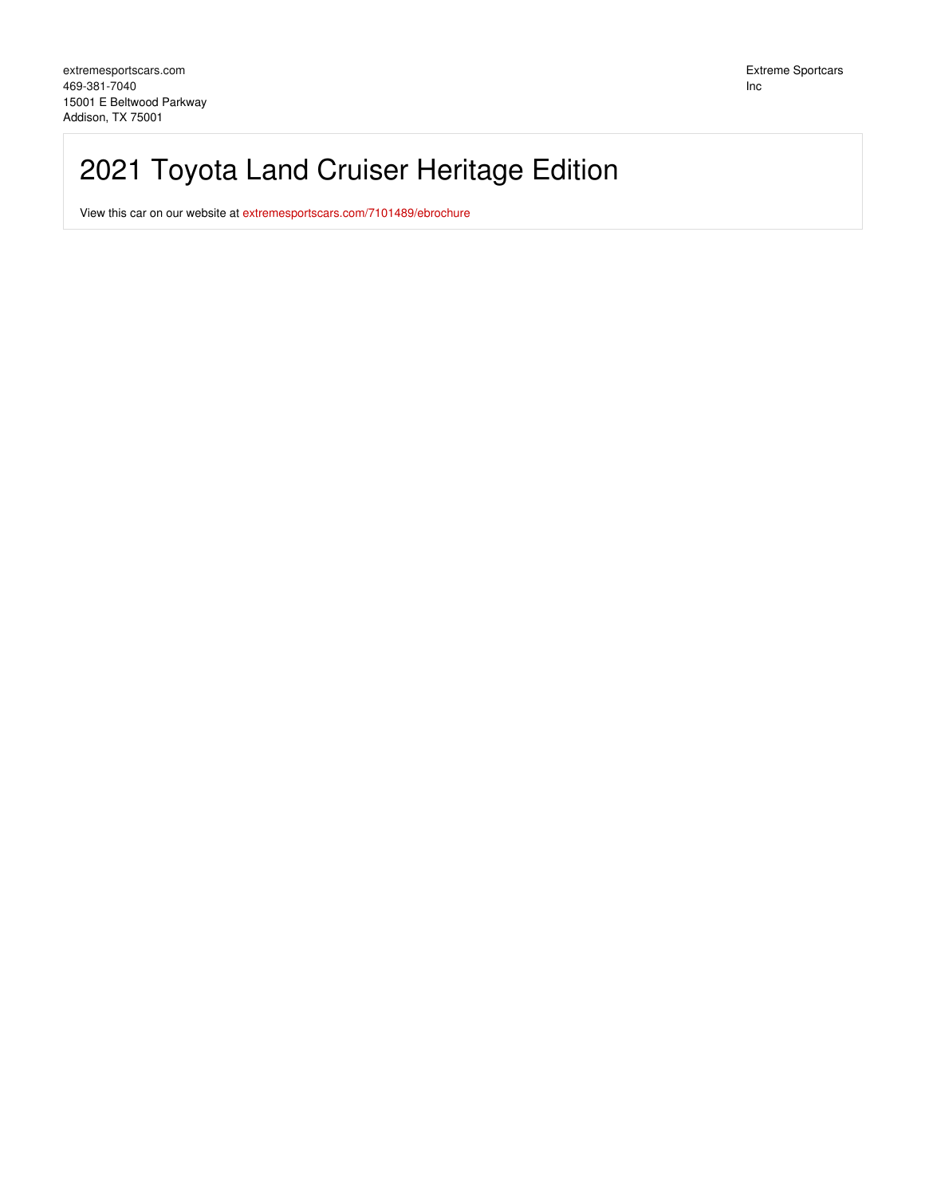# 2021 Toyota Land Cruiser Heritage Edition

View this car on our website at [extremesportscars.com/7101489/ebrochure](https://extremesportscars.com/vehicle/7101489/2021-toyota-land-cruiser-heritage-edition-addison-tx-75001/7101489/ebrochure)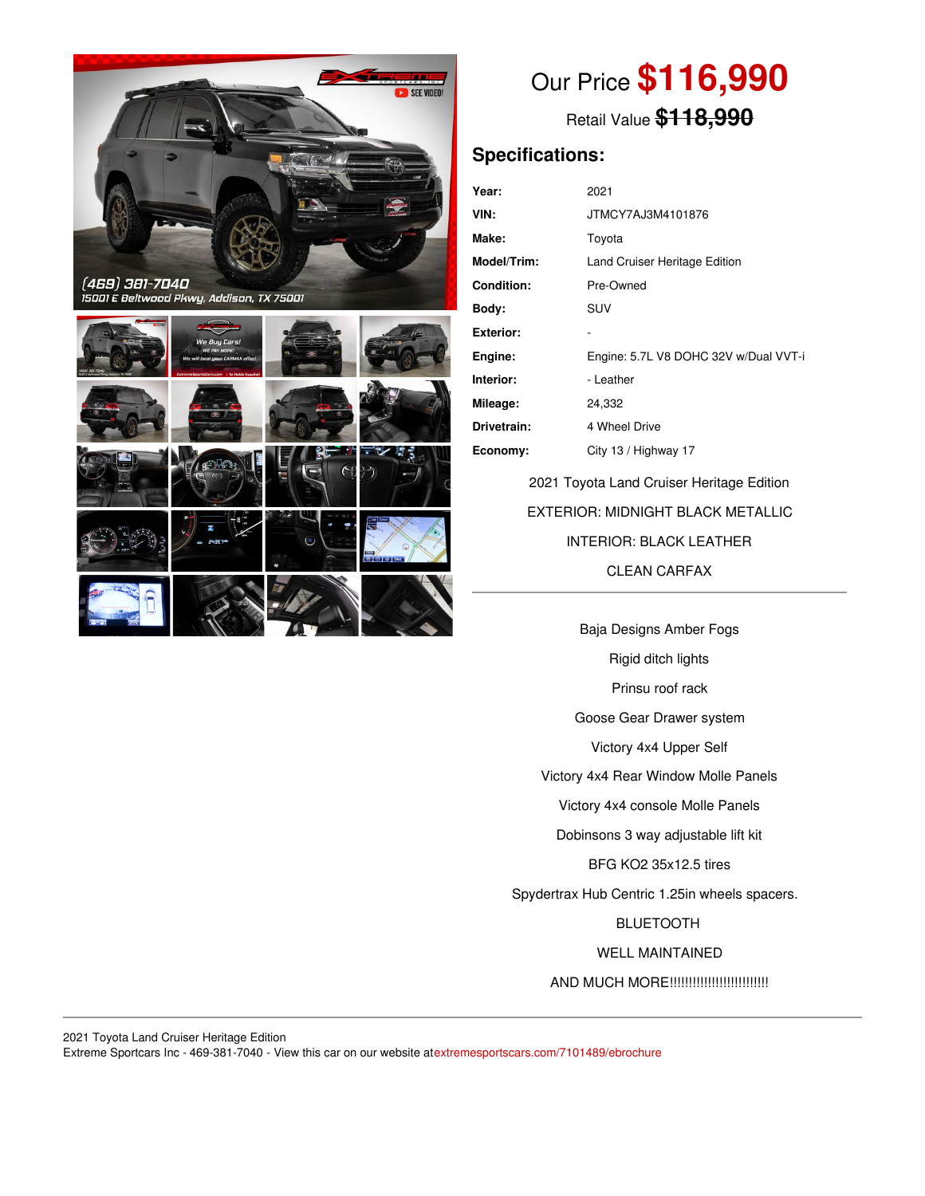

Our Price **\$116,990**

Retail Value **\$118,990**

### **Specifications:**

| Year:              | 2021                                  |
|--------------------|---------------------------------------|
| VIN:               | JTMCY7AJ3M4101876                     |
| Make:              | Toyota                                |
| <b>Model/Trim:</b> | Land Cruiser Heritage Edition         |
| <b>Condition:</b>  | Pre-Owned                             |
| Body:              | SUV                                   |
| Exterior:          |                                       |
| Engine:            | Engine: 5.7L V8 DOHC 32V w/Dual VVT-i |
| Interior:          | - Leather                             |
| Mileage:           | 24,332                                |
| Drivetrain:        | 4 Wheel Drive                         |
| Economy:           | City 13 / Highway 17                  |
|                    |                                       |

2021 Toyota Land Cruiser Heritage Edition EXTERIOR: MIDNIGHT BLACK METALLIC INTERIOR: BLACK LEATHER CLEAN CARFAX

Baja Designs Amber Fogs Rigid ditch lights Prinsu roof rack Goose Gear Drawer system Victory 4x4 Upper Self Victory 4x4 Rear Window Molle Panels Victory 4x4 console Molle Panels Dobinsons 3 way adjustable lift kit BFG KO2 35x12.5 tires Spydertrax Hub Centric 1.25in wheels spacers. BLUETOOTH WELL MAINTAINED AND MUCH MORE!!!!!!!!!!!!!!!!!!!!!!!!!!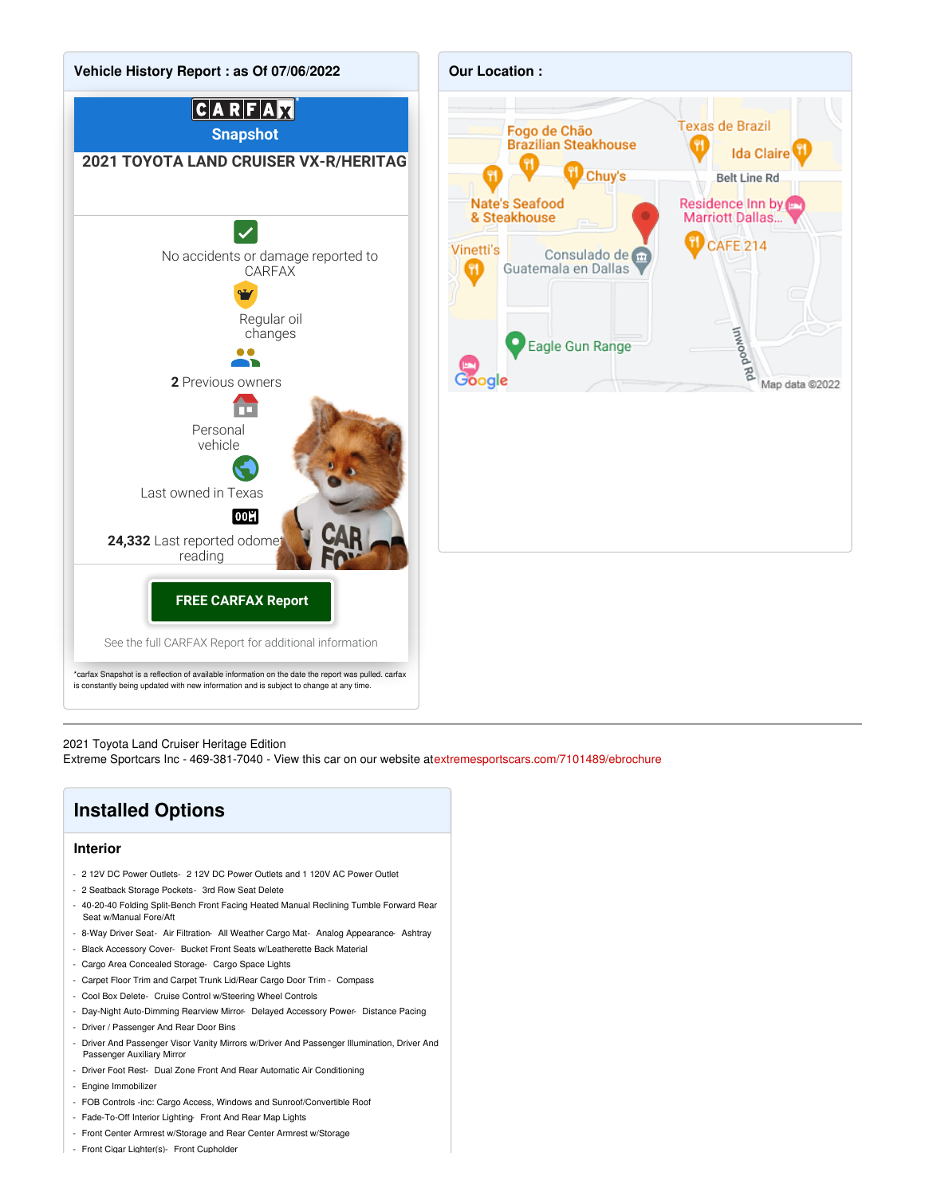



2021 Toyota Land Cruiser Heritage Edition

Extreme Sportcars Inc - 469-381-7040 - View this car on our website at[extremesportscars.com/7101489/ebrochure](https://extremesportscars.com/vehicle/7101489/2021-toyota-land-cruiser-heritage-edition-addison-tx-75001/7101489/ebrochure)

## **Installed Options**

#### **Interior**

- 2 12V DC Power Outlets- 2 12V DC Power Outlets and 1 120V AC Power Outlet
- 2 Seatback Storage Pockets- 3rd Row Seat Delete
- 40-20-40 Folding Split-Bench Front Facing Heated Manual Reclining Tumble Forward Rear Seat w/Manual Fore/Aft
- 8-Way Driver Seat- Air Filtration- All Weather Cargo Mat- Analog Appearance- Ashtray
- Black Accessory Cover- Bucket Front Seats w/Leatherette Back Material
- Cargo Area Concealed Storage- Cargo Space Lights
- Carpet Floor Trim and Carpet Trunk Lid/Rear Cargo Door Trim Compass
- Cool Box Delete- Cruise Control w/Steering Wheel Controls
- Day-Night Auto-Dimming Rearview Mirror- Delayed Accessory Power- Distance Pacing
- Driver / Passenger And Rear Door Bins
- Driver And Passenger Visor Vanity Mirrors w/Driver And Passenger Illumination, Driver And Passenger Auxiliary Mirror
- Driver Foot Rest- Dual Zone Front And Rear Automatic Air Conditioning
- Engine Immobilizer
- FOB Controls -inc: Cargo Access, Windows and Sunroof/Convertible Roof
- Fade-To-Off Interior Lighting- Front And Rear Map Lights
- Front Center Armrest w/Storage and Rear Center Armrest w/Storage
- Front Cigar Lighter(s)- Front Cupholder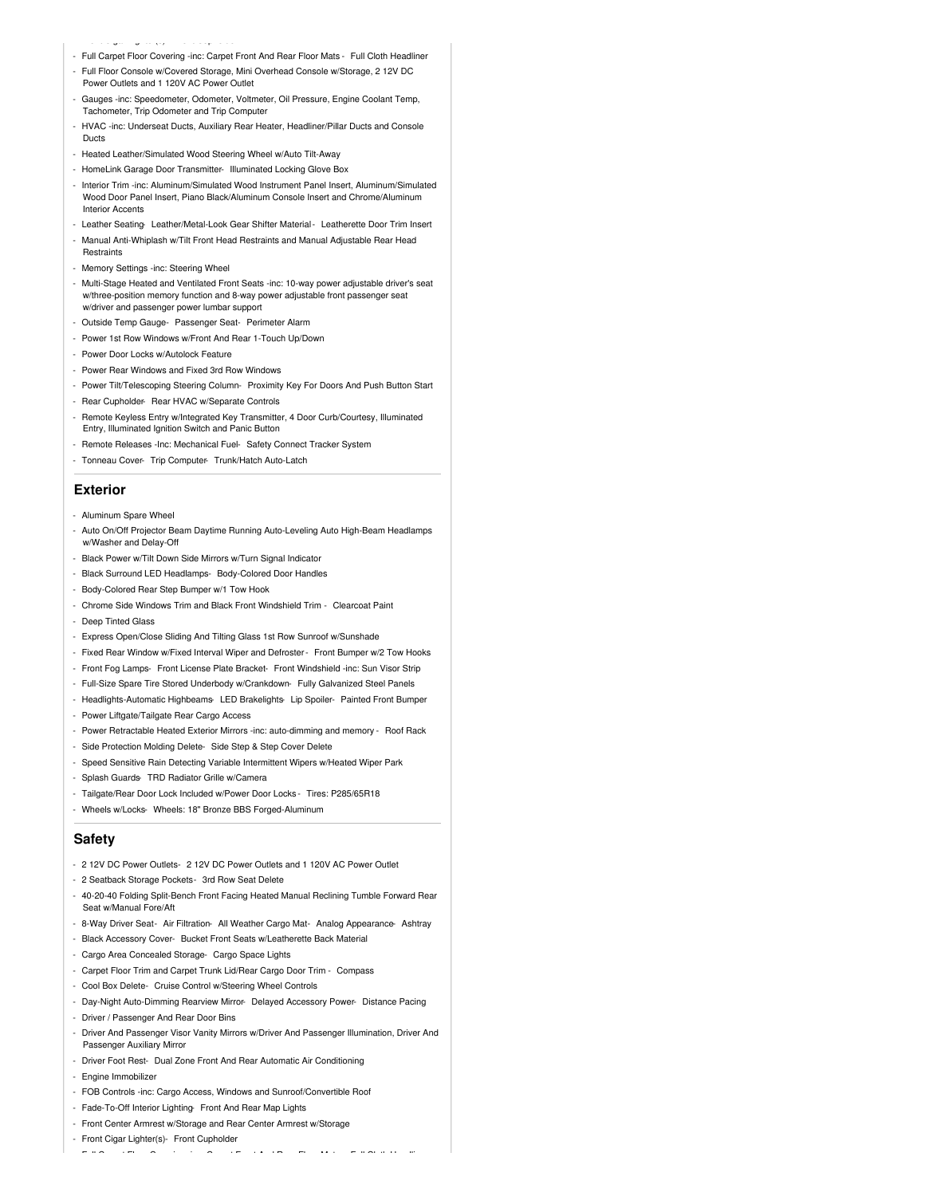- Front Cigar Lighter(s)- Front Cupholder - Full Carpet Floor Covering -inc: Carpet Front And Rear Floor Mats - Full Cloth Headliner
- Full Floor Console w/Covered Storage, Mini Overhead Console w/Storage, 2 12V DC Power Outlets and 1 120V AC Power Outlet
- Gauges -inc: Speedometer, Odometer, Voltmeter, Oil Pressure, Engine Coolant Temp, Tachometer, Trip Odometer and Trip Computer
- HVAC -inc: Underseat Ducts, Auxiliary Rear Heater, Headliner/Pillar Ducts and Console Ducts
- Heated Leather/Simulated Wood Steering Wheel w/Auto Tilt-Away
- HomeLink Garage Door Transmitter- Illuminated Locking Glove Box
- Interior Trim -inc: Aluminum/Simulated Wood Instrument Panel Insert, Aluminum/Simulated Wood Door Panel Insert, Piano Black/Aluminum Console Insert and Chrome/Aluminum Interior Accents
- Leather Seating- Leather/Metal-Look Gear Shifter Material- Leatherette Door Trim Insert
- Manual Anti-Whiplash w/Tilt Front Head Restraints and Manual Adjustable Rear Head
- Memory Settings -inc: Steering Wheel
- Multi-Stage Heated and Ventilated Front Seats -inc: 10-way power adjustable driver's seat w/three-position memory function and 8-way power adjustable front passenger seat w/driver and passenger power lumbar support
- Outside Temp Gauge- Passenger Seat- Perimeter Alarm
- Power 1st Row Windows w/Front And Rear 1-Touch Up/Down
- Power Door Locks w/Autolock Feature
- Power Rear Windows and Fixed 3rd Row Windows
- Power Tilt/Telescoping Steering Column- Proximity Key For Doors And Push Button Start
- Rear Cupholder- Rear HVAC w/Separate Controls
- Remote Keyless Entry w/Integrated Key Transmitter, 4 Door Curb/Courtesy, Illuminated Entry, Illuminated Ignition Switch and Panic Button
- Remote Releases -Inc: Mechanical Fuel- Safety Connect Tracker System
- Tonneau Cover- Trip Computer- Trunk/Hatch Auto-Latch

#### **Exterior**

**Restraints** 

- Aluminum Spare Wheel
- Auto On/Off Projector Beam Daytime Running Auto-Leveling Auto High-Beam Headlamps w/Washer and Delay-Off
- Black Power w/Tilt Down Side Mirrors w/Turn Signal Indicator
- Black Surround LED Headlamps- Body-Colored Door Handles
- Body-Colored Rear Step Bumper w/1 Tow Hook
- Chrome Side Windows Trim and Black Front Windshield Trim Clearcoat Paint
- Deep Tinted Glass
- Express Open/Close Sliding And Tilting Glass 1st Row Sunroof w/Sunshade
- Fixed Rear Window w/Fixed Interval Wiper and Defroster- Front Bumper w/2 Tow Hooks
- Front Fog Lamps- Front License Plate Bracket- Front Windshield -inc: Sun Visor Strip
- Full-Size Spare Tire Stored Underbody w/Crankdown- Fully Galvanized Steel Panels
- Headlights-Automatic Highbeams- LED Brakelights- Lip Spoiler- Painted Front Bumper
- Power Liftgate/Tailgate Rear Cargo Access
- Power Retractable Heated Exterior Mirrors -inc: auto-dimming and memory Roof Rack
- Side Protection Molding Delete- Side Step & Step Cover Delete
- Speed Sensitive Rain Detecting Variable Intermittent Wipers w/Heated Wiper Park
- Splash Guards- TRD Radiator Grille w/Camera
- Tailgate/Rear Door Lock Included w/Power Door Locks Tires: P285/65R18
- Wheels w/Locks- Wheels: 18" Bronze BBS Forged-Aluminum

#### **Safety**

- 2 12V DC Power Outlets- 2 12V DC Power Outlets and 1 120V AC Power Outlet
- 2 Seatback Storage Pockets- 3rd Row Seat Delete
- 40-20-40 Folding Split-Bench Front Facing Heated Manual Reclining Tumble Forward Rear Seat w/Manual Fore/Aft
- 8-Way Driver Seat- Air Filtration- All Weather Cargo Mat- Analog Appearance- Ashtray
- Black Accessory Cover- Bucket Front Seats w/Leatherette Back Material
- Cargo Area Concealed Storage- Cargo Space Lights
- Carpet Floor Trim and Carpet Trunk Lid/Rear Cargo Door Trim Compass
- Cool Box Delete- Cruise Control w/Steering Wheel Controls
- Day-Night Auto-Dimming Rearview Mirror- Delayed Accessory Power- Distance Pacing
- Driver / Passenger And Rear Door Bins
- Driver And Passenger Visor Vanity Mirrors w/Driver And Passenger Illumination, Driver And Passenger Auxiliary Mirror

- Full Carpet Floor Covering -inc: Carpet Front And Rear Floor Mats - Full Cloth Headliner

- Driver Foot Rest- Dual Zone Front And Rear Automatic Air Conditioning
- Engine Immobilizer
- FOB Controls -inc: Cargo Access, Windows and Sunroof/Convertible Roof
- Fade-To-Off Interior Lighting- Front And Rear Map Lights
- Front Center Armrest w/Storage and Rear Center Armrest w/Storage

- Front Cigar Lighter(s)- Front Cupholder